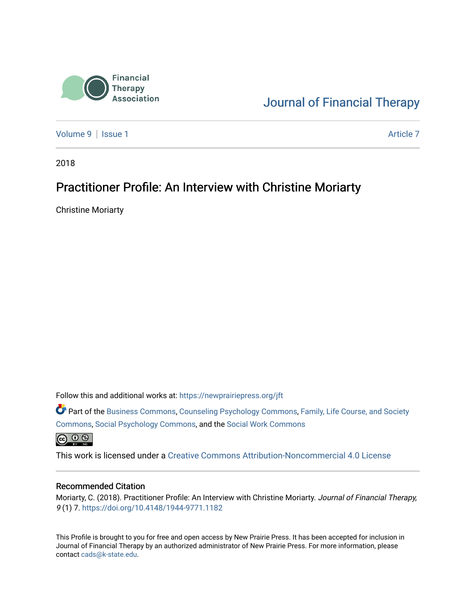

[Journal of Financial Therapy](https://newprairiepress.org/jft) 

[Volume 9](https://newprairiepress.org/jft/vol9) | [Issue 1](https://newprairiepress.org/jft/vol9/iss1) Article 7

2018

### Practitioner Profile: An Interview with Christine Moriarty

Christine Moriarty

Follow this and additional works at: [https://newprairiepress.org/jft](https://newprairiepress.org/jft?utm_source=newprairiepress.org%2Fjft%2Fvol9%2Fiss1%2F7&utm_medium=PDF&utm_campaign=PDFCoverPages)

Part of the [Business Commons](http://network.bepress.com/hgg/discipline/622?utm_source=newprairiepress.org%2Fjft%2Fvol9%2Fiss1%2F7&utm_medium=PDF&utm_campaign=PDFCoverPages), [Counseling Psychology Commons,](http://network.bepress.com/hgg/discipline/1044?utm_source=newprairiepress.org%2Fjft%2Fvol9%2Fiss1%2F7&utm_medium=PDF&utm_campaign=PDFCoverPages) [Family, Life Course, and Society](http://network.bepress.com/hgg/discipline/419?utm_source=newprairiepress.org%2Fjft%2Fvol9%2Fiss1%2F7&utm_medium=PDF&utm_campaign=PDFCoverPages)  [Commons](http://network.bepress.com/hgg/discipline/419?utm_source=newprairiepress.org%2Fjft%2Fvol9%2Fiss1%2F7&utm_medium=PDF&utm_campaign=PDFCoverPages), [Social Psychology Commons,](http://network.bepress.com/hgg/discipline/414?utm_source=newprairiepress.org%2Fjft%2Fvol9%2Fiss1%2F7&utm_medium=PDF&utm_campaign=PDFCoverPages) and the [Social Work Commons](http://network.bepress.com/hgg/discipline/713?utm_source=newprairiepress.org%2Fjft%2Fvol9%2Fiss1%2F7&utm_medium=PDF&utm_campaign=PDFCoverPages)   $\bigoplus$   $\bigoplus$   $\bigoplus$ 

This work is licensed under a [Creative Commons Attribution-Noncommercial 4.0 License](https://creativecommons.org/licenses/by-nc/4.0/)

#### Recommended Citation

Moriarty, C. (2018). Practitioner Profile: An Interview with Christine Moriarty. Journal of Financial Therapy, 9 (1) 7. <https://doi.org/10.4148/1944-9771.1182>

This Profile is brought to you for free and open access by New Prairie Press. It has been accepted for inclusion in Journal of Financial Therapy by an authorized administrator of New Prairie Press. For more information, please contact [cads@k-state.edu](mailto:cads@k-state.edu).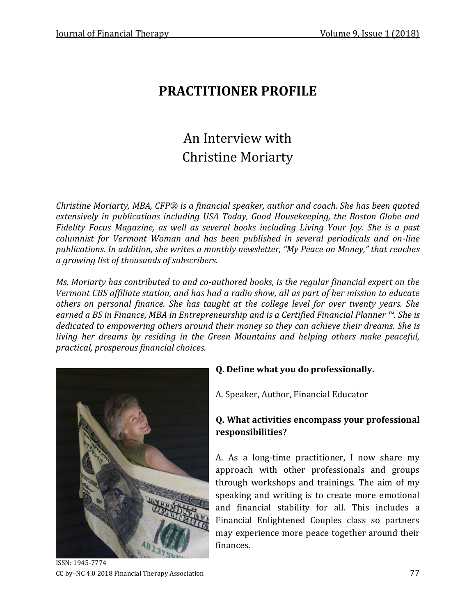## **PRACTITIONER PROFILE**

# An Interview with Christine Moriarty

*Christine Moriarty, MBA, CFP® is a financial speaker, author and coach. She has been quoted extensively in publications including USA Today, Good Housekeeping, the Boston Globe and Fidelity Focus Magazine, as well as several books including Living Your Joy. She is a past columnist for Vermont Woman and has been published in several periodicals and on-line publications. In addition, she writes a monthly newsletter, "My Peace on Money," that reaches a growing list of thousands of subscribers.*

*Ms. Moriarty has contributed to and co-authored books, is the regular financial expert on the Vermont CBS affiliate station, and has had a radio show, all as part of her mission to educate others on personal finance. She has taught at the college level for over twenty years. She earned a BS in Finance, MBA in Entrepreneurship and is a Certified Financial Planner ™. She is dedicated to empowering others around their money so they can achieve their dreams. She is living her dreams by residing in the Green Mountains and helping others make peaceful, practical, prosperous financial choices.*



**Q. Define what you do professionally.**

A. Speaker, Author, Financial Educator

#### **Q. What activities encompass your professional responsibilities?**

A. As a long-time practitioner, I now share my approach with other professionals and groups through workshops and trainings. The aim of my speaking and writing is to create more emotional and financial stability for all. This includes a Financial Enlightened Couples class so partners may experience more peace together around their finances.

ISSN: 1945-7774 CC by–NC 4.0 2018 Financial Therapy Association 77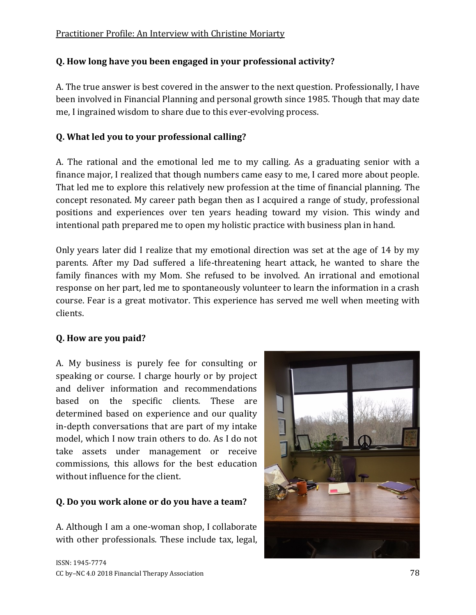#### **Q. How long have you been engaged in your professional activity?**

A. The true answer is best covered in the answer to the next question. Professionally, I have been involved in Financial Planning and personal growth since 1985. Though that may date me, I ingrained wisdom to share due to this ever-evolving process.

#### **Q. What led you to your professional calling?**

A. The rational and the emotional led me to my calling. As a graduating senior with a finance major, I realized that though numbers came easy to me, I cared more about people. That led me to explore this relatively new profession at the time of financial planning. The concept resonated. My career path began then as I acquired a range of study, professional positions and experiences over ten years heading toward my vision. This windy and intentional path prepared me to open my holistic practice with business plan in hand.

Only years later did I realize that my emotional direction was set at the age of 14 by my parents. After my Dad suffered a life-threatening heart attack, he wanted to share the family finances with my Mom. She refused to be involved. An irrational and emotional response on her part, led me to spontaneously volunteer to learn the information in a crash course. Fear is a great motivator. This experience has served me well when meeting with clients.

#### **Q. How are you paid?**

A. My business is purely fee for consulting or speaking or course. I charge hourly or by project and deliver information and recommendations based on the specific clients. These are determined based on experience and our quality in-depth conversations that are part of my intake model, which I now train others to do. As I do not take assets under management or receive commissions, this allows for the best education without influence for the client.

#### **Q. Do you work alone or do you have a team?**

A. Although I am a one-woman shop, I collaborate with other professionals. These include tax, legal,

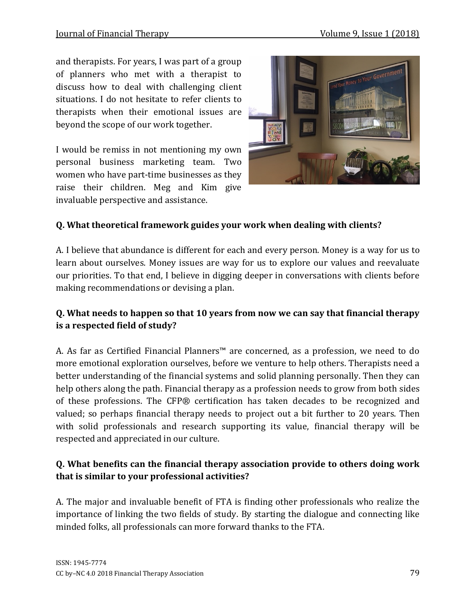and therapists. For years, I was part of a group of planners who met with a therapist to discuss how to deal with challenging client situations. I do not hesitate to refer clients to therapists when their emotional issues are beyond the scope of our work together.

I would be remiss in not mentioning my own personal business marketing team. Two women who have part-time businesses as they raise their children. Meg and Kim give invaluable perspective and assistance.



#### **Q. What theoretical framework guides your work when dealing with clients?**

A. I believe that abundance is different for each and every person. Money is a way for us to learn about ourselves. Money issues are way for us to explore our values and reevaluate our priorities. To that end, I believe in digging deeper in conversations with clients before making recommendations or devising a plan.

#### **Q. What needs to happen so that 10 years from now we can say that financial therapy is a respected field of study?**

A. As far as Certified Financial Planners™ are concerned, as a profession, we need to do more emotional exploration ourselves, before we venture to help others. Therapists need a better understanding of the financial systems and solid planning personally. Then they can help others along the path. Financial therapy as a profession needs to grow from both sides of these professions. The CFP® certification has taken decades to be recognized and valued; so perhaps financial therapy needs to project out a bit further to 20 years. Then with solid professionals and research supporting its value, financial therapy will be respected and appreciated in our culture.

#### **Q. What benefits can the financial therapy association provide to others doing work that is similar to your professional activities?**

A. The major and invaluable benefit of FTA is finding other professionals who realize the importance of linking the two fields of study. By starting the dialogue and connecting like minded folks, all professionals can more forward thanks to the FTA.